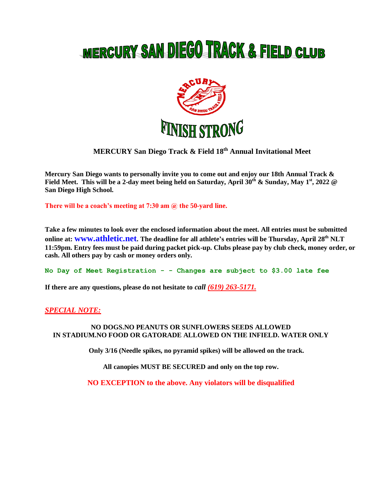# MERCURY SAN DIEGO TRACK & FIELD CLUB



# **MERCURY San Diego Track & Field 18 th Annual Invitational Meet**

**Mercury San Diego wants to personally invite you to come out and enjoy our 18th Annual Track & Field Meet. This will be a 2-day meet being held on Saturday, April 30th & Sunday, May 1st, 2022 @ San Diego High School.** 

**There will be a coach's meeting at 7:30 am @ the 50-yard line.**

**Take a few minutes to look over the enclosed information about the meet. All entries must be submitted online at: www.athletic.net. The deadline for all athlete's entries will be Thursday, April 28 th NLT 11:59pm. Entry fees must be paid during packet pick-up. Clubs please pay by club check, money order, or cash. All others pay by cash or money orders only.**

**No Day of Meet Registration - - Changes are subject to \$3.00 late fee**

**If there are any questions, please do not hesitate to** *call (619) 263-5171.*

# *SPECIAL NOTE:*

## **NO DOGS.NO PEANUTS OR SUNFLOWERS SEEDS ALLOWED IN STADIUM.NO FOOD OR GATORADE ALLOWED ON THE INFIELD. WATER ONLY**

**Only 3/16 (Needle spikes, no pyramid spikes) will be allowed on the track.** 

**All canopies MUST BE SECURED and only on the top row.**

**NO EXCEPTION to the above. Any violators will be disqualified**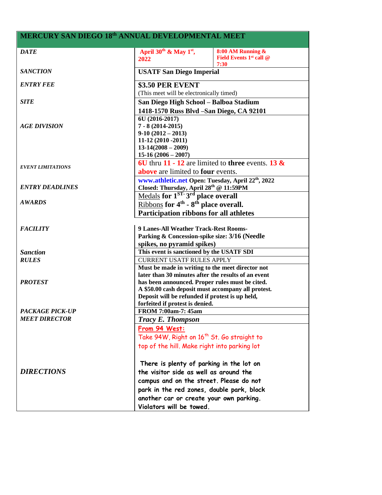# **MERCURY SAN DIEGO 18 th ANNUAL DEVELOPMENTAL MEET**

| <b>DATE</b>              | April 30 <sup>th</sup> & May 1 <sup>st</sup> ,                                     | 8:00 AM Running &                   |  |  |
|--------------------------|------------------------------------------------------------------------------------|-------------------------------------|--|--|
|                          | 2022                                                                               | Field Events 1 <sup>st</sup> call @ |  |  |
|                          | 7:30                                                                               |                                     |  |  |
| <b>SANCTION</b>          | <b>USATF San Diego Imperial</b>                                                    |                                     |  |  |
| <b>ENTRY FEE</b>         | \$3.50 PER EVENT                                                                   |                                     |  |  |
|                          | (This meet will be electronically timed)                                           |                                     |  |  |
| <b>SITE</b>              | San Diego High School - Balboa Stadium                                             |                                     |  |  |
|                          |                                                                                    |                                     |  |  |
|                          | 1418-1570 Russ Blvd -San Diego, CA 92101<br>6U (2016-2017)<br>$7 - 8(2014 - 2015)$ |                                     |  |  |
| <b>AGE DIVISION</b>      |                                                                                    |                                     |  |  |
|                          | $9-10(2012-2013)$                                                                  |                                     |  |  |
|                          | 11-12 (2010 -2011)                                                                 |                                     |  |  |
|                          | $13-14(2008-2009)$<br>$15-16(2006-2007)$                                           |                                     |  |  |
|                          |                                                                                    |                                     |  |  |
|                          | 6U thru 11 - 12 are limited to three events. 13 $\&$                               |                                     |  |  |
| <b>EVENT LIMITATIONS</b> | above are limited to four events.                                                  |                                     |  |  |
|                          | www.athletic.net Open: Tuesday, April 22th, 2022                                   |                                     |  |  |
| <b>ENTRY DEADLINES</b>   | Closed: Thursday, April 28th @ 11:59PM                                             |                                     |  |  |
|                          | Medals for 1 <sup>ST</sup> 3 <sup>rd</sup> place overall                           |                                     |  |  |
| <b>AWARDS</b>            | Ribbons for $4th$ - $8th$ place overall.                                           |                                     |  |  |
|                          |                                                                                    |                                     |  |  |
|                          | Participation ribbons for all athletes                                             |                                     |  |  |
| <b>FACILITY</b>          | 9 Lanes-All Weather Track-Rest Rooms-                                              |                                     |  |  |
|                          | Parking & Concession-spike size: 3/16 (Needle                                      |                                     |  |  |
|                          | spikes, no pyramid spikes)                                                         |                                     |  |  |
| <b>Sanction</b>          | This event is sanctioned by the USATF SDI                                          |                                     |  |  |
| <b>RULES</b>             | <b>CURRENT USATF RULES APPLY</b>                                                   |                                     |  |  |
|                          | Must be made in writing to the meet director not                                   |                                     |  |  |
|                          | later than 30 minutes after the results of an event                                |                                     |  |  |
| <b>PROTEST</b>           | has been announced. Proper rules must be cited.                                    |                                     |  |  |
|                          | A \$50.00 cash deposit must accompany all protest.                                 |                                     |  |  |
|                          | Deposit will be refunded if protest is up held,                                    |                                     |  |  |
|                          | forfeited if protest is denied.                                                    |                                     |  |  |
| <b>PACKAGE PICK-UP</b>   | FROM 7:00am-7:45am                                                                 |                                     |  |  |
| <b>MEET DIRECTOR</b>     | Tracy E. Thompson                                                                  |                                     |  |  |
|                          | From 94 West:                                                                      |                                     |  |  |
|                          | Take 94W, Right on 16 <sup>th</sup> St. Go straight to                             |                                     |  |  |
|                          | top of the hill. Make right into parking lot                                       |                                     |  |  |
|                          |                                                                                    |                                     |  |  |
|                          | There is plenty of parking in the lot on                                           |                                     |  |  |
| <b>DIRECTIONS</b>        |                                                                                    |                                     |  |  |
|                          | the visitor side as well as around the                                             |                                     |  |  |
|                          | campus and on the street. Please do not                                            |                                     |  |  |
|                          | park in the red zones, double park, block                                          |                                     |  |  |
|                          | another car or create your own parking.                                            |                                     |  |  |
|                          | Violators will be towed.                                                           |                                     |  |  |